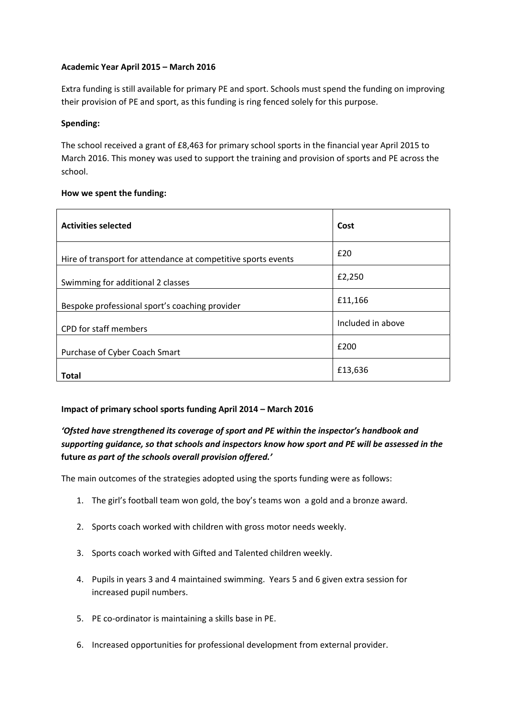### **Academic Year April 2015 – March 2016**

Extra funding is still available for primary PE and sport. Schools must spend the funding on improving their provision of PE and sport, as this funding is ring fenced solely for this purpose.

#### **Spending:**

The school received a grant of £8,463 for primary school sports in the financial year April 2015 to March 2016. This money was used to support the training and provision of sports and PE across the school.

#### **How we spent the funding:**

| <b>Activities selected</b>                                    | Cost              |
|---------------------------------------------------------------|-------------------|
| Hire of transport for attendance at competitive sports events | £20               |
| Swimming for additional 2 classes                             | £2,250            |
| Bespoke professional sport's coaching provider                | £11,166           |
| CPD for staff members                                         | Included in above |
| Purchase of Cyber Coach Smart                                 | £200              |
| <b>Total</b>                                                  | £13,636           |

## **Impact of primary school sports funding April 2014 – March 2016**

# *'Ofsted have strengthened its coverage of sport and PE within the inspector's handbook and supporting guidance, so that schools and inspectors know how sport and PE will be assessed in the* **future** *as part of the schools overall provision offered.'*

The main outcomes of the strategies adopted using the sports funding were as follows:

- 1. The girl's football team won gold, the boy's teams won a gold and a bronze award.
- 2. Sports coach worked with children with gross motor needs weekly.
- 3. Sports coach worked with Gifted and Talented children weekly.
- 4. Pupils in years 3 and 4 maintained swimming. Years 5 and 6 given extra session for increased pupil numbers.
- 5. PE co-ordinator is maintaining a skills base in PE.
- 6. Increased opportunities for professional development from external provider.